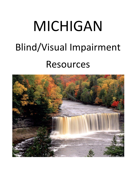# MICHIGAN Blind/Visual Impairment Resources

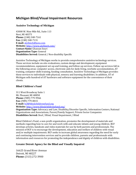# **Michigan Blind/Visual Impairment Resources**

# **Assistive Technology of Michigan**

43000 W. Nine Mile Rd., Suite 113 Novi, MI 48375 **Phone:** (248) 348-7161 **Fax:** (248) 348-7131 **E-mail:** [atofmich@juno.com](mailto:atofmich@juno.com) **Website:** <http://www.atofmich.com/> **Contact Name:** Ghassan Souri **Organization Type:** General **Disabilities Served:** General / Non-disability Specific

Assistive Technology of Michigan works to provide comprehensive assistive technology services. These services include on-site evaluations, custom design and development, equipment recommendations, equipment set-up and training, and follow-up services. Follow-up services fall in the following areas: computer access, electronic aids for daily living, worksite accommodation, AT training, computer skills training, funding consultation. Assistive Technology of Michigan provides these services to individuals with physical, sensory and learning disabilities. In addition, AT of Michigan sells hundred of AT hardware and software equipment for the convenience of their clients.

# **Blind Children's Fund**

311 West Broadway Suite 1 Mt. Pleasant, MI 48858 **Phone:** (989) 779-9966 **Fax:** (989) 779-0015 **E-mail:** [bcf@blindchildrensfund.org](mailto:bcf@blindchildrensfund.org) **Website:** <http://www.blindchildrensfund.org/>

**Organization Type:** Advocacy and Law, Disability/Disorder Specific, Information Centers, National Organizations and Associations, Parent/Family Support, Private Sector Companies **Disabilities Served:** Deaf / Blind, Visual Impairment / Blind

Blind Children's Fund, a non-profit organization, promotes the development of materials and methods regarding how to care for and work with and educate infants and young children. BCF develops articles, handouts and video materials for use by both parents and professionals. The mission of BCF is to encourage the development, education and welfare of children with visual and/or multiple impairments. BCF seeks to increase global awareness regarding the need for early and continuing intervention services and to provide children, parents and professionals with information and resources for promoting the independence and dignity of children with disabilities.

# **Greater Detroit Agency for the Blind and Visually Impaired**

16625 Grand River Avenue Detroit, MI 48227 **Phone:** (313) 272-3900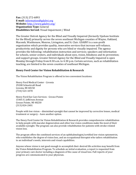#### **Fax:** (313) 272-6893 **E-mail:** [information@gdabvi.org](mailto:information@gdabvi.org) **Website:** <http://www.gdabvi.org/> **Organization Type:** General **Disabilities Served:** Visual Impairment / Blind

The Greater Detroit Agency for the Blind and Visually Impaired (formerly Upshaw Institute for the Blind) primarily serves the seven southeast Michigan counties of Wayne, Oakland, Macomb, Washtenaw, Monroe, Livingston, and St. Clair. GDABVI is a non-profit organization which provides quality, innovative services that increase self-reliance, productivity and dignity for persons who are blind or visually impaired. The agency provides the following: rehabilitation instruction and services; speakers and information for schools, senior centers, and individuals about eyes, vision, blindness and its prevention; and support groups. Greater Detroit Agency for the Blind and Visually Impaired is open Monday through Friday from 8:30 a.m. to 4:30 p.m. Certain services, such as rehabilitation teaching, are limited to the seven counties of southeast Michigan.

#### **Henry Ford Center for Vision Rehabilitation & Research**

The Vision Rehabilitation Program is offered in two convenient locations:

Henry Ford Medical Center - Livonia 29200 Schoolcraft Road Livonia, MI 48150 (734) 523-1070

Henry Ford Eye Care Services - Grosse Pointe 15401 E. Jefferson Avenue Grosse Pointe, MI 48230 (313) 824-2401

People with low vision – diminished eyesight that cannot be improved by corrective lenses, medical treatment or surgery – have another option.

The Henry Ford Center for Vision Rehabilitation & Research provides comprehensive rehabilitation to help people with macular degeneration and other low vision conditions make the most of their available eyesight. The program can also provide rehabilitation for patients with stroke-related vision loss.

The program offers the combined services of an ophthalmologist/certified low vision optometrist, who establishes the degree of vision loss, and an occupational therapist who tailors rehabilitation to an individual's needs, interests and visual capabilities.

Anyone whose vision is not good enough to accomplish their desired life activities may benefit from the Vision Rehabilitation Program. To schedule an initial evaluation, a report is requested from your primary care doctor including a diagnosis of the cause of visual loss. Full reports of your progress are communicated to your physician.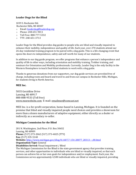# **Leader Dogs for the Blind**

1039 S. Rochester Rd. Rochester Hills, MI 48307

- o Email: [leaderdog@leaderdog.org](mailto:leaderdog@leaderdog.org)
- o Phone: 248-651-9011
- o Toll Free: 888-777-5332
- o TTY: 248-651-3713

Leader Dogs for the Blind provides dog guides to people who are blind and visually impaired to enhance their mobility, independence and quality of life. Each year, over 270 students attend our 26-day residential training program to be paired with a dog guide. This is a life-changing event that opens the doors to independence, safety and self-worth for many of our students.

In addition to our dog guide program, we offer programs that enhance a person's independence and quality of life in other ways, including orientation and mobility training, Trekker training, and seminars for Orientation and Mobility professionals. Currently, Leader Dog is the only facility in the Western Hemisphere to teach Deaf-blind students to work with a dog guide.

Thanks to generous donations from our supporters, our dog guide services are provided free of charge, including room and board and travel to and from our campus in Rochester Hills, Michigan, for students living in North America.

#### **MEE Inc.**

5035 Geraldine Drive Lansing, MI 48917 888-888-9533 (Toll free) [www.meewebsite.com](http://www.meewebsite.com/) E-mail[: emailmee@comcast.net](mailto:emailmee@comcast.net)

MEE Inc. is a for-profit corporation, home-based in Lansing, Michigan. It is founded on the premise that blind and visually impaired people need choices and provides a showroom for more than a dozen manufacturers of adaptive equipment, either directly as a dealer or indirectly as a secondary re-seller.

#### **Michigan Commission for the Blind**

201 N. Washington, 2nd Floor; P.O. Box 30652 Lansing, MI 48909 **Phone:** (517) 373-2062 (517) 373-4025 (TTY) **Fax:** (517) 335-5140 **Website:** [http://www.michigan.gov/dleg/0,1607,7-154-28077\\_28313---,00.html](http://www.michigan.gov/dleg/0,1607,7-154-28077_28313---,00.html) **Organization Type:** General **Disabilities Served:** Visual Impairment / Blind The Michigan Commission for the Blind is the state government agency that provides training,

services, and other opportunities to individuals who are blind or visually impaired, so that each person can achieve his or her own goals for independence and/or employment. Each year, the Commission serves approximately 4,500 individuals who are blind or visually impaired, providing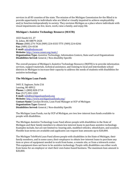services in all 83 counties of the state. The mission of the Michigan Commission for the Blind is to provide opportunity to individuals who are blind or visually impaired to achieve employability and/or function independently in society. They envision Michigan as a place where individuals with visual impairments can live, learn, work, raise a family, and enjoy life.

#### **Michigan's Assistive Technology Resource (MATR)**

1023 South U.S. 27 St. Johns, MI 48879-2424 **Phone:** (800) 274-7426 (989) 224-0333 TTY: (989) 224-0246 **Fax:** (989) 224-0330 **E-mail:** [mits@edzone.net](mailto:mits@edzone.net) **Website:** <http://www.cenmi.org/matr/> **Organization Type:** Assistive Technology, Information Centers, State and Local Organizations **Disabilities Served:** General / Non-disability Specific

The overall purpose of Michigan's Assistive Technology Resource (MATR) is to provide information services, support materials, technical assistance, and training to local and intermediate school districts in Michigan to increase their capacity to address the needs of students with disabilities for assistive technology.

# **The Michigan Loan Funds**

3401 E. Saginaw, Suite 216 Lansing, MI 48912 **Phone:** 1-(800) 828-2714 **Fax:** (517) 203-1203 **E-mail:** [info@michiganloanfunds.org](mailto:info@michiganloanfunds.org) **Website:** <http://www.michiganloanfunds.org/> **Contact Name:** Carolyn Brown, Loan Fund Manager at UCP of Michigan **Organization Type:** General **Disabilities Served:** General / Non-disability Specific

The Michigan Loan Funds, run by UCP of Michigan, are two low-interest loan funds available to people with disabilities.

The Michigan Assistive Technology Loan Fund allows people with disabilities in the State of Michigan and their family members to obtain low-interest loans to purchase assistive technology. Examples include, but are not limited to: hearing aids, modified vehicles, wheelchairs, and scooters. Flexible loan terms are available and applicants can request loan amounts up to \$20,000.

The Michigan TeleWork Loan Fund allows people with disabilities in the State of Michigan, their family members, and in some cases, their employers to obtain low-interest loans to purchase any item or piece of equipment needed to work from home, a remote site, or from a telework center. This equipment does not have to be assistive technology. People with disabilities can either work from home for an employer or start their own home-based business. The maximum loan amount is \$20,000.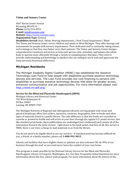#### **Vision and Sensory Center**

4467 Byron Center Avenue Wyoming, MI 49519 **Phone:** (616) 534-4953 **E-mail:** [info@vscenter.com](mailto:info@vscenter.com) **Website:** <http://www.vscenter.com/> **Organization Type:** General

**Disabilities Served:** Deaf / Blind, Hearing Impairments / Deaf, Visual Impairment / Blind The Vision and Sensory Center serves children and adults in West Michigan. They offer therapy and assessments for people with sensory impairments. Their dedicated staff is constantly taking classes and trainings so that they may better serve their patients. The Vision and Sensory Center designs comprehensive treatment and strives to help each person calm, stimulate, and balance the whole body to operate more efficiently through a variety of complimentary therapies. They exist to provide understanding and knowledge to families who are willing to work with and appreciate the many personal functional differences.

# **Michigan Residents**

The Michigan Disability Rights Coalition (MDRC) has established the Assistive Technology Loan Fund to help people with disabilities purchase assistive technology devices and services. The Loan Fund provides low-cost financing to persons with disabilities to purchase assistive technology devices that allow for greater access, enhanced communication and job opportunities. For more information please visit: <http://www.mi-atlf.org/>

#### **Service for the Blind and Physically Handicapped (SBPH)**

Michigan Library and Historical Center 702 West Kalamazoo St PO Box 30007 Lansing, MI 48909-7507

The Michigan Network of Regional and Subregional Libraries serving people with visual and physical handicaps offers best-sellers, mysteries, westerns, biographies, how-to books and other types of materials found in a public library. The only difference is that the books are recorded on cassette or printed in braille and will arrive at your door through the regular U.S. postal service. Just like standard print books, these publications are unabridged (not condensed) and contain all of the information found in the print version - right down to the book jacket. And best of all, this service is FREE, there is not even a charge to mail materials to or from the library.

You do not need to be legally blind to use our services - if standard print has become difficult for you, a friend, or a family member, please call **1-800-992-9012.**

Schools and facilities that have eligible clients or patients are also welcome! We do 99% of our business through the mail, so you need never leave the comfort of your own home.

This program is made possible by the National Library Service for the Blind and Physically Handicapped, Library of Congress, Washington, D.C. See their Frequently Asked Questions for more information about this free, nation-wide program. For more information about the history of the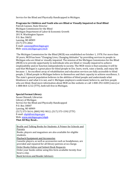Service for the Blind and Physically Handicapped in Michigan.

#### **Programs for Children and Youth who are Blind or Visually Impaired or Deaf-Blind**

Patrick Cannon, State Director Michigan Commission for the Blind Michigan Department of Labor & Economic Growth 201 N. Washington Square P.O. Box 30652 Lansing, MI 48909 (517) 373-2062 E-mail: [cannonp@michigan.gov](mailto:cannonp@michigan.gov) Web: [www.michigan.gov/mcb](http://www.michigan.gov/mcb)

The Michigan Commission for the Blind (MCB) was established on October 1, 1978. For more than 30 years, MCB has been "Changing Lives, Changing Attitudes" by providing services to people in Michigan who are blind or visually impaired. The mission of the Michigan Commission for the Blind (MCB) is to provide opportunity to individuals who are blind or visually impaired to achieve employability and/or function independently in society. The MCB vision is that someday it will be said that Michigan is a great place for blind people to live, learn, work, raise a family, and enjoy life because: 1. An excellent array of rehabilitation and education services are fully accessible to blind people, 2. Blind people in Michigan believe in themselves and their capacity to achieve excellence, 3. The state's general population believes in the abilities of blind people and understands what blindness is and what it is not, and 4. Michigan employers understand, believe in, and hire people who are blind. Read more information about MCB on this website or call 1-800-292-4200 (voice) or 1-888-864-1212 (TTY), both toll-free in Michigan.

#### **Special Format Library**

Susan Chinault, Librarian Library of Michigan Service for the Blind and Physically Handicapped P.O. Box 30007 Lansing, MI 48909 (517) 373-5614; (800) 992-9012; (517) 373-1592 (TTY) E-mail: [sbph@michigan.gov](mailto:sbph@michigan.gov) Web: [www.michigan.gov/sbph](http://www.michigan.gov/sbph) **That All May Read...**

• [Braille and Talking Books for Students: A Primer for Schools and](http://www.michigan.gov/dleg/0,1607,7-154-28077_54234-221779--,00.html)  [Parents](http://www.michigan.gov/dleg/0,1607,7-154-28077_54234-221779--,00.html) Books, players and magazines are also available for eligible students. • [Playback Equipment and Accessories](http://www.michigan.gov/dleg/0,1607,7-154-28077_54234-221775--,00.html) Cassette players, as well as accessories such as headphones, are provided and repaired for all library patrons at no charge. • [Order Books Online and Submit Book Requests](http://www.michigan.gov/dleg/0,1607,7-154-28077_54234-221778--,00.html) Order your books online using this form available twenty-four hours a day. • [Book Services and Reader Advisors](http://www.michigan.gov/dleg/0,1607,7-154-28077_54234-221777--,00.html)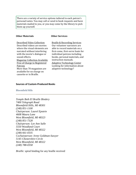There are a variety of service options tailored to each patron's personal tastes. You may call or send in book requests and have materials mailed to you, or you may come by the library to pick them up yourself.

#### **Other Materials**

#### **Other Services**

• [Described Video Collection](http://www.michigan.gov/dleg/0,1607,7-154-28077_54234-221867--,00.html) Described videos are movies where the visual elements are narrated without interfering with the movie's dialogue or sound effects. **Magazine Collection Available** [Free of Charge to Registered](http://www.loc.gov/nls/reference/circulars/magprog.html)  [Patrons](http://www.loc.gov/nls/reference/circulars/magprog.html) More than 70 magazines are available for no charge on cassette or in Braille.

• [Braille & Recording Services](http://www.michigan.gov/dleg/0,1607,7-154-28077_54234-221870--,00.html) Our volunteer narrators are able to record materials on a first-come, first-serve basis for individual patrons including books, personal materials, and instruction manuals. • [Adaptive Technology Center](http://www.michigan.gov/dleg/0,1607,7-154-28077_54234_54252---,00.html) Looking for information about adaptive technology?

#### **Sources of Custom-Produced Books**

#### Bloomfield Hills

*Temple Beth El Braille Bindery 7400 Telegraph Road Bloomfield Hills, MI 48301 (248) 851-1100 Chairperson: Laurel Epstein 4608 Maura Lane West Bloomfield, MI 48323 (248) 851-7328 Chairperson: Lee Ann Salle 5550 Woodland Court West Bloomfield, MI 48322 (248) 661-0335 Cochairperson: Irene Goldman-Sawyer 5145 Chestershire Circle West Bloomfield, MI 48322 (248) 788-0358* 

*Braille:* spiral binding for any braille received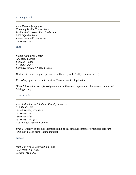#### Farmington Hills

*Adat Shalom Synagogue Tricounty Braille Transcribers Braille chairperson: Sheri Biederman 35037 Quaker Way Farmington Hills, MI 48331 (248) 559-7112* 

Flint

*Visually Impaired Center 725 Mason Street Flint, MI 48503 (810) 235-2544 Executive director: Sharon Reigle* 

*Braille* : literary; computer-produced; software (Braille Talk); embosser (TSI)

*Recording:* general; cassette masters; 2-track cassette duplication

*Other Information:* accepts assignments from Genesee, Lapeer, and Shiawassee counties of Michigan only

Grand Rapids

*Association for the Blind and Visually Impaired 215 Sheldon SE Grand Rapids, MI 49503 (616) 458-1187 (800) 466-8084 (616) 458-7113 fax Coordinator: Jeanne Koehler* 

*Braille:* literary, textbooks; thermoforming; spiral binding; computer-produced; software (Duxbury); large-print reading material

Jackson

*Michigan Braille Transcribing Fund 3500 North Elm Road Jackson, MI 49201*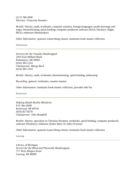*(517) 780-5096 Director: Francelia Wonders* 

*Braille:* literary, math, textbooks, computer notation, foreign languages; tactile drawings and maps; thermoforming; spiral binding; computer-produced; software (Ed-It, Duxbury, Edgar, BEX); embosser (Bookmaker)

*Other Information:* sponsors transcribing classes, maintains book-master collection

Kalamazoo

*Services for the Visually Handicapped 1819 East Milham Road Kalamazoo, MI 49002 (616) 385-1524 Chairperson: Marge Burk (616) 385-1524* 

*Braille: literary, math, textbooks; thermoforming; spiral binding; embossing* 

*Recording:* general, textbooks; cassette masters

*Other Information:* maintains book-master collection, provides title list

Kentwood

*Helping Hands Braille Ministries P.O. Box 8298 Kentwood, MI 49518 (616) 827-8270 Chairperson: John Hemphill* 

*Braille:* literary, specialize in Christian literature, textbooks; spiral binding; computer-produced; software (Duxbury); embosser (Index Basic D, Index Everest)

*Other Information:* sponsors transcribing classes; maintains book-master collection

Lansing

*Library of Michigan Service for the Blind and Physically Handicapped 717 West Allegan Street Lansing, MI 48909*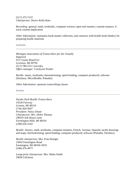*(517) 373-7133 Chairperson: Desire Kelly-Kato* 

*Recording: general, math, textbooks, computer science; open-reel masters; cassette masters; 4*track cassette duplication

*Other Information:* maintains book-master collection, and contracts with braille book bindery for preparing braille materials

Lewiston

*Michigan Association of Transcribers for the Visually Impaired 913 County Road 612 Lewiston, MI 49756 (517) 786-5311 voice/fax Office manager: CaraLynn Pender* 

*Braille:* music, textbooks; thermoforming; spiral binding; computer-produced; software (Duxbury, MicroBraille, Pokadot)

*Other Information:* sponsors transcribing classes

Livonia

*Nardin Park Braille Transcribers 16536 Fairway Livonia, MI 48154 (734) 464-9507 President: Nancy Doute Chairperson: Mrs. Helen Thomas 29654 Club House Lane Farmington Hills, MI 48334 (248) 626-5244* 

*Braille:* literary, math, textbooks, computer notation, French, German, Spanish; tactile drawings and maps; thermoforming; spiral binding; computer-produced; software (Pokadot, Duxbury)

*Braille chairperson:* Mrs. Fran Hoetger 23043 Farmington Road Farmington, MI 48336-3919 (248) 476-4973

*Large-print chairperson:* Mrs. Helen Smith 29630 Gilchrest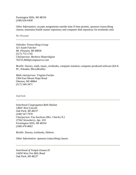Farmington Hills, MI 48334 (248) 626-6458

*Other Information:* accepts assignments outside state if time permits, sponsors transcribing classes, maintains braille master repository and computer disk repository for textbooks only

Mt. Pleasant

*Onlooker Transcribing Group 421 South Fancher Mt. Pleasant, MI 48858 (517) 772-1745 Chairperson: Barbara Sheperdigian 76574.3660@compuserve.com* 

*Braille:* literary, math, music, textbooks, computer notation; computer-produced software (Ed-It PC, Pokadot, MicroBraille)

*Math chairperson:* Virginia Fischer 2364 East Mount Hope Road Okemos, MI 48864 (517) 349-3471

Oak Park

*Sisterhood Congregation Beth Shalom 14601 West Lincoln Oak Park, MI 48237 (248) 547-7970 Chairperson: Fay Isackson (Mrs. Charles N.) 27362 Strawberry, Apt. 103 Farmington Hills, MI 48334 (248) 476-8663* 

*Braille:* literary, textbooks, Hebrew

*Other Information:* sponsors transcribing classes

*Sisterhood of Temple Emanu El 14450 West Ten Mile Road Oak Park, MI 48237*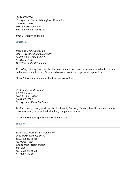*(248) 967-4020 Chairperson: Shirley Mann (Mrs. Sidney B.) (248) 960-8210 6081 Silverbrooke West West Bloomfield, MI 48322* 

*Braille:* literary, textbooks

Southfield

*Readings for the Blind, Inc. 29451 Greenfield Road, Suite 216 Southfield, MI 48076-2294 (248) 557-7776 Director: Emily McSweeney* 

*Recording:* literary, math, textbooks, computer science, owner's manuals, cookbooks; cassette and open-reel duplication; 2-track and 4-track cassette and open-reel duplication

*Other Information:* maintains book-master collection

*Tri-County Braille Volunteers 17889 Bonstelle Southfield, MI 48075 (248) 559-7112 Chairperson: Emily Buchman* 

*Braille:* literary, math, music, textbooks, French, German, Hebrew, Swahili; tactile drawings; thermoforming; spiral and velo-binding; computer-produced

*Other Information:* sponsors transcribing classes

St. Helen

*Richfield Library Braille Volunteers 1681 North Kennedy Drive St. Helen, MI 48656 (517) 389-4582 Chairperson: Helen Nelson Box 253 St. Helen, MI 48656 (517) 389-4958*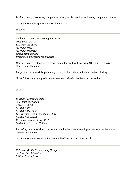*Braille: literary, textbooks, computer notation; tactile drawings and maps; computer-produced* 

*Other Information:* sponsors transcribing classes

St. Johns

*Michigan Assistive Technology Resource 1023 South U.S. 27 St. Johns, MI 48879 (517) 224-0333 (517) 224-0330 fax tomblair@mutch.org Production processor: Janet Keefer* 

*Braille:* literary, textbooks, reference; computer-produced; software (Duxbury); embosser (Thiel); spiral binding

*Large print:* all materials; photocopy; color or black/white; spiral and perfect binding

*Other Information:* nonprofit, fee for service; maintains book-master collection

**Troy** 

*RFB&D Recording Studio 5600 Rochester Road Troy, MI 48098 (248) 879-0101 (248) 879-9927 fax Chairperson: J.G. Frauenheim, Ph.D. (248) 691-4744 (w) Executive director: Carla Reeb Studio director: Don Haffner* 

*Recording:* educational texts for students in kindergarten through postgraduate studies; 4-track cassette duplication

*Other Information:* see [NJ-6 f](http://www.loc.gov/nls/reference/directories/sources.html#nj-6)or national headquarters and more details

*Volunteer Braille Transcribing Group c/o Mrs. Carol Graville 5340 Abington Drive*